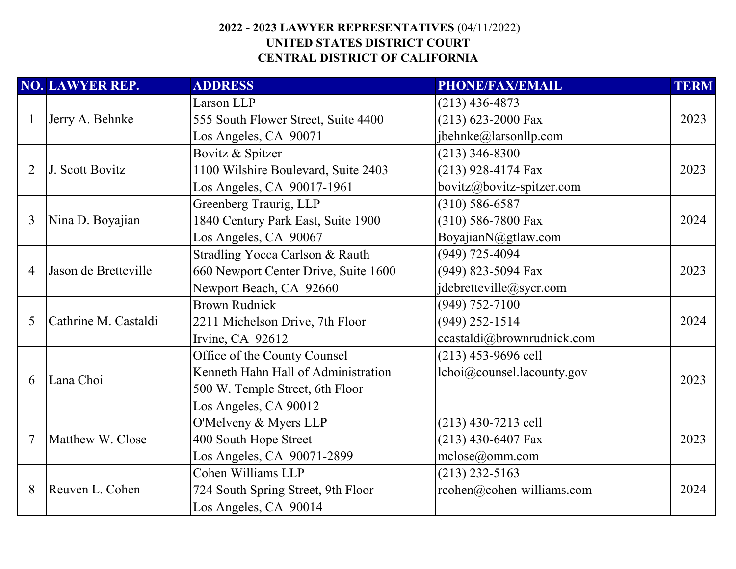|   | <b>NO. LAWYER REP.</b> | <b>ADDRESS</b>                       | <b>PHONE/FAX/EMAIL</b>     | <b>TERM</b> |
|---|------------------------|--------------------------------------|----------------------------|-------------|
|   |                        | Larson LLP                           | $(213)$ 436-4873           |             |
|   | Jerry A. Behnke        | 555 South Flower Street, Suite 4400  | $(213)$ 623-2000 Fax       | 2023        |
|   |                        | Los Angeles, CA 90071                | jbehnke@larsonllp.com      |             |
|   |                        | Bovitz & Spitzer                     | $(213)$ 346-8300           |             |
| 2 | J. Scott Bovitz        | 1100 Wilshire Boulevard, Suite 2403  | $(213)$ 928-4174 Fax       | 2023        |
|   |                        | Los Angeles, CA 90017-1961           | bovitz@bovitz-spitzer.com  |             |
|   |                        | Greenberg Traurig, LLP               | $(310) 586 - 6587$         |             |
| 3 | Nina D. Boyajian       | 1840 Century Park East, Suite 1900   | $(310)$ 586-7800 Fax       | 2024        |
|   |                        | Los Angeles, CA 90067                | BoyajianN@gtlaw.com        |             |
|   |                        | Stradling Yocca Carlson & Rauth      | $(949)$ 725-4094           |             |
| 4 | Jason de Bretteville   | 660 Newport Center Drive, Suite 1600 | (949) 823-5094 Fax         | 2023        |
|   |                        | Newport Beach, CA 92660              | jdebretteville@sycr.com    |             |
|   |                        | <b>Brown Rudnick</b>                 | $(949) 752 - 7100$         |             |
| 5 | Cathrine M. Castaldi   | 2211 Michelson Drive, 7th Floor      | $(949)$ 252-1514           | 2024        |
|   |                        | Irvine, CA 92612                     | ccastaldi@brownrudnick.com |             |
|   |                        | Office of the County Counsel         | $(213)$ 453-9696 cell      |             |
|   | Lana Choi              | Kenneth Hahn Hall of Administration  | lchoi@counsel.lacounty.gov | 2023        |
| 6 |                        | 500 W. Temple Street, 6th Floor      |                            |             |
|   |                        | Los Angeles, CA 90012                |                            |             |
|   |                        | O'Melveny & Myers LLP                | $(213)$ 430-7213 cell      |             |
|   | Matthew W. Close       | 400 South Hope Street                | $(213)$ 430-6407 Fax       | 2023        |
|   |                        | Los Angeles, CA 90071-2899           | mclose@omm.com             |             |
|   |                        | Cohen Williams LLP                   | $(213)$ 232-5163           |             |
| 8 | Reuven L. Cohen        | 724 South Spring Street, 9th Floor   | rcohen@cohen-williams.com  | 2024        |
|   |                        | Los Angeles, CA 90014                |                            |             |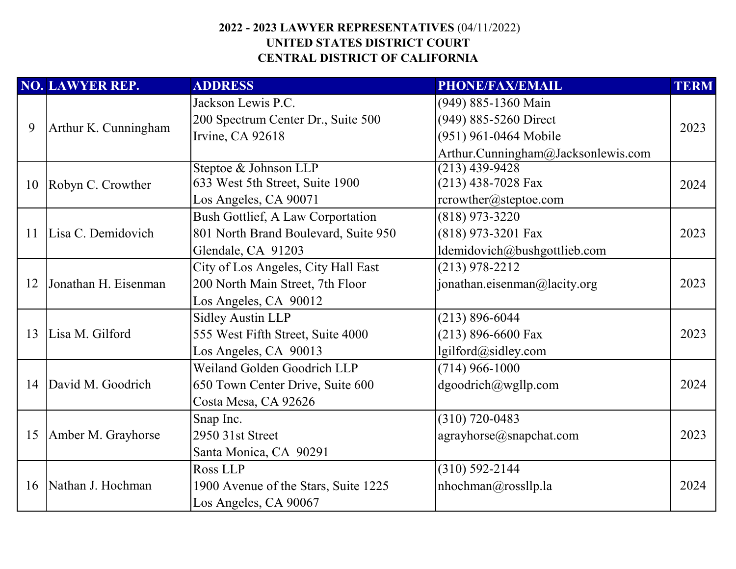|    | <b>NO. LAWYER REP.</b> | <b>ADDRESS</b>                           | <b>PHONE/FAX/EMAIL</b>             | <b>TERM</b> |
|----|------------------------|------------------------------------------|------------------------------------|-------------|
|    |                        | Jackson Lewis P.C.                       | (949) 885-1360 Main                |             |
| 9  |                        | 200 Spectrum Center Dr., Suite 500       | (949) 885-5260 Direct              | 2023        |
|    | Arthur K. Cunningham   | Irvine, CA 92618                         | (951) 961-0464 Mobile              |             |
|    |                        |                                          | Arthur.Cunningham@Jacksonlewis.com |             |
|    |                        | Steptoe & Johnson LLP                    | $(213)$ 439-9428                   |             |
| 10 | Robyn C. Crowther      | 633 West 5th Street, Suite 1900          | $(213)$ 438-7028 Fax               | 2024        |
|    |                        | Los Angeles, CA 90071                    | rcrowther@steptoe.com              |             |
|    |                        | <b>Bush Gottlief, A Law Corportation</b> | $(818)$ 973-3220                   |             |
| 11 | Lisa C. Demidovich     | 801 North Brand Boulevard, Suite 950     | (818) 973-3201 Fax                 | 2023        |
|    |                        | Glendale, CA 91203                       | ldemidovich@bushgottlieb.com       |             |
|    |                        | City of Los Angeles, City Hall East      | $(213)$ 978-2212                   |             |
| 12 | Jonathan H. Eisenman   | 200 North Main Street, 7th Floor         | jonathan.eisenman@lacity.org       | 2023        |
|    |                        | Los Angeles, CA 90012                    |                                    |             |
|    |                        | <b>Sidley Austin LLP</b>                 | $(213) 896 - 6044$                 |             |
| 13 | Lisa M. Gilford        | 555 West Fifth Street, Suite 4000        | $(213)$ 896-6600 Fax               | 2023        |
|    |                        | Los Angeles, CA 90013                    | lgilford@sidley.com                |             |
|    |                        | Weiland Golden Goodrich LLP              | $(714)$ 966-1000                   |             |
| 14 | David M. Goodrich      | 650 Town Center Drive, Suite 600         | dgoodrich@wgllp.com                | 2024        |
|    |                        | Costa Mesa, CA 92626                     |                                    |             |
|    |                        | Snap Inc.                                | $(310) 720 - 0483$                 |             |
| 15 | Amber M. Grayhorse     | 2950 31st Street                         | agrayhorse@snapchat.com            | 2023        |
|    |                        | Santa Monica, CA 90291                   |                                    |             |
|    |                        | Ross LLP                                 | $(310) 592 - 2144$                 |             |
| 16 | Nathan J. Hochman      | 1900 Avenue of the Stars, Suite 1225     | nhochman@rossllp.la                | 2024        |
|    |                        | Los Angeles, CA 90067                    |                                    |             |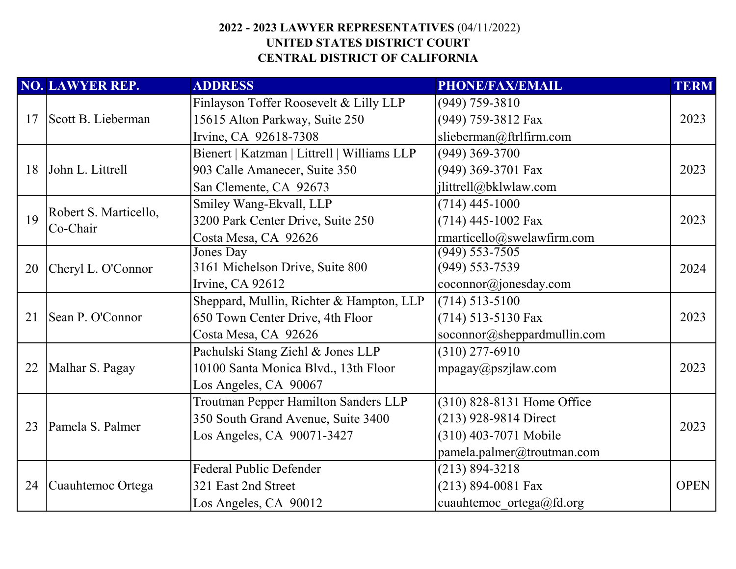|    | <b>NO. LAWYER REP.</b>            | <b>ADDRESS</b>                              | PHONE/FAX/EMAIL             | <b>TERM</b> |
|----|-----------------------------------|---------------------------------------------|-----------------------------|-------------|
|    |                                   | Finlayson Toffer Roosevelt & Lilly LLP      | $(949)$ 759-3810            |             |
| 17 | Scott B. Lieberman                | 15615 Alton Parkway, Suite 250              | (949) 759-3812 Fax          | 2023        |
|    |                                   | Irvine, CA 92618-7308                       | slieberman@ftrlfirm.com     |             |
|    |                                   | Bienert   Katzman   Littrell   Williams LLP | $(949)$ 369-3700            |             |
| 18 | John L. Littrell                  | 903 Calle Amanecer, Suite 350               | (949) 369-3701 Fax          | 2023        |
|    |                                   | San Clemente, CA 92673                      | jlittrell@bklwlaw.com       |             |
|    |                                   | Smiley Wang-Ekvall, LLP                     | $(714)$ 445-1000            |             |
| 19 | Robert S. Marticello,<br>Co-Chair | 3200 Park Center Drive, Suite 250           | $(714)$ 445-1002 Fax        | 2023        |
|    |                                   | Costa Mesa, CA 92626                        | rmarticello@swelawfirm.com  |             |
|    |                                   | Jones Day                                   | $(949) 553 - 7505$          |             |
| 20 | Cheryl L. O'Connor                | 3161 Michelson Drive, Suite 800             | $(949) 553 - 7539$          | 2024        |
|    |                                   | Irvine, CA 92612                            | coconnor@jonesday.com       |             |
|    |                                   | Sheppard, Mullin, Richter & Hampton, LLP    | $(714) 513 - 5100$          |             |
| 21 | Sean P. O'Connor                  | 650 Town Center Drive, 4th Floor            | (714) 513-5130 Fax          | 2023        |
|    |                                   | Costa Mesa, CA 92626                        | soconnor@sheppardmullin.com |             |
|    |                                   | Pachulski Stang Ziehl & Jones LLP           | $(310)$ 277-6910            |             |
| 22 | Malhar S. Pagay                   | 10100 Santa Monica Blvd., 13th Floor        | mpagay@pszjlaw.com          | 2023        |
|    |                                   | Los Angeles, CA 90067                       |                             |             |
|    |                                   | Troutman Pepper Hamilton Sanders LLP        | (310) 828-8131 Home Office  |             |
| 23 | Pamela S. Palmer                  | 350 South Grand Avenue, Suite 3400          | (213) 928-9814 Direct       | 2023        |
|    |                                   | Los Angeles, CA 90071-3427                  | (310) 403-7071 Mobile       |             |
|    |                                   |                                             | pamela.palmer@troutman.com  |             |
|    |                                   | <b>Federal Public Defender</b>              | $(213) 894 - 3218$          |             |
| 24 | Cuauhtemoc Ortega                 | 321 East 2nd Street                         | $(213) 894 - 0081$ Fax      | <b>OPEN</b> |
|    |                                   | Los Angeles, CA 90012                       | cuauhtemoc ortega@fd.org    |             |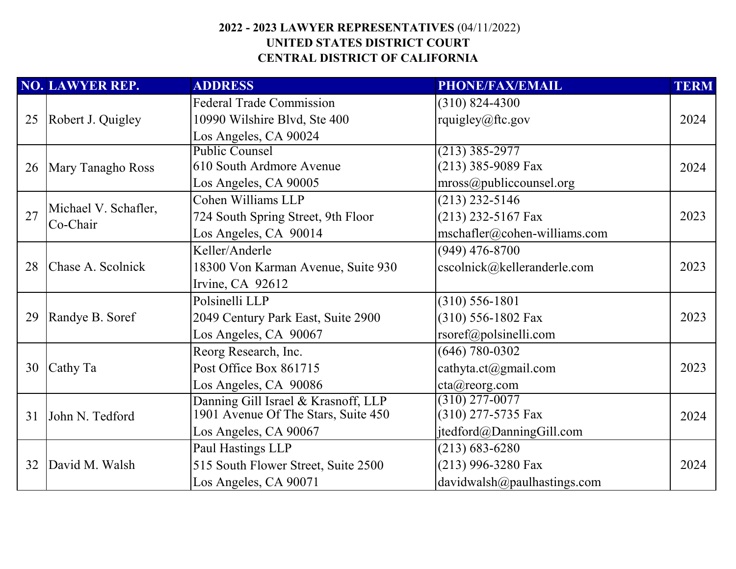|    | <b>NO. LAWYER REP.</b>           | <b>ADDRESS</b>                      | <b>PHONE/FAX/EMAIL</b>            | <b>TERM</b> |
|----|----------------------------------|-------------------------------------|-----------------------------------|-------------|
|    |                                  | <b>Federal Trade Commission</b>     | $(310)$ 824-4300                  |             |
| 25 | Robert J. Quigley                | 10990 Wilshire Blvd, Ste 400        | rquigley@ftc.gov                  | 2024        |
|    |                                  | Los Angeles, CA 90024               |                                   |             |
|    |                                  | <b>Public Counsel</b>               | $(213)$ 385-2977                  |             |
| 26 | Mary Tanagho Ross                | 610 South Ardmore Avenue            | (213) 385-9089 Fax                | 2024        |
|    |                                  | Los Angeles, CA 90005               | mross@public <b>course</b> log    |             |
|    |                                  | Cohen Williams LLP                  | $(213)$ 232-5146                  |             |
| 27 | Michael V. Schafler,<br>Co-Chair | 724 South Spring Street, 9th Floor  | $(213)$ 232-5167 Fax              | 2023        |
|    |                                  | Los Angeles, CA 90014               | mschafler@cohen-williams.com      |             |
|    |                                  | Keller/Anderle                      | $(949)$ 476-8700                  |             |
| 28 | Chase A. Scolnick                | 18300 Von Karman Avenue, Suite 930  | cscolnick@kelleranderle.com       | 2023        |
|    |                                  | Irvine, CA 92612                    |                                   |             |
|    |                                  | Polsinelli LLP                      | $(310) 556 - 1801$                |             |
| 29 | Randye B. Soref                  | 2049 Century Park East, Suite 2900  | $(310)$ 556-1802 Fax              | 2023        |
|    |                                  | Los Angeles, CA 90067               | $\text{rsoref}(a)$ polsinelli.com |             |
|    |                                  | Reorg Research, Inc.                | $(646) 780 - 0302$                |             |
| 30 | Cathy Ta                         | Post Office Box 861715              | cathyta.ct@gmail.com              | 2023        |
|    |                                  | Los Angeles, CA 90086               | cta@reorg.com                     |             |
|    |                                  | Danning Gill Israel & Krasnoff, LLP | $(310)$ 277-0077                  |             |
| 31 | John N. Tedford                  | 1901 Avenue Of The Stars, Suite 450 | $(310)$ 277-5735 Fax              | 2024        |
|    |                                  | Los Angeles, CA 90067               | jtedford@DanningGill.com          |             |
|    |                                  | Paul Hastings LLP                   | $(213) 683 - 6280$                |             |
| 32 | David M. Walsh                   | 515 South Flower Street, Suite 2500 | $(213)$ 996-3280 Fax              | 2024        |
|    |                                  | Los Angeles, CA 90071               | davidwalk@paulhastings.com        |             |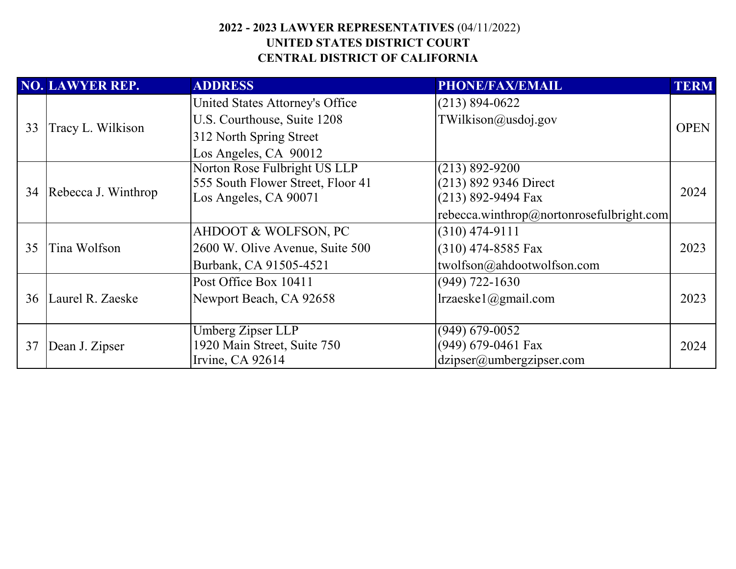|    | <b>NO. LAWYER REP.</b> | <b>ADDRESS</b>                    | PHONE/FAX/EMAIL                          | <b>TERM</b> |
|----|------------------------|-----------------------------------|------------------------------------------|-------------|
|    |                        | United States Attorney's Office   | $(213) 894 - 0622$                       |             |
|    | Tracy L. Wilkison      | U.S. Courthouse, Suite 1208       | TWilkison@usdoj.gov                      | <b>OPEN</b> |
| 33 |                        | 312 North Spring Street           |                                          |             |
|    |                        | Los Angeles, CA 90012             |                                          |             |
|    |                        | Norton Rose Fulbright US LLP      | $(213) 892 - 9200$                       |             |
|    |                        | 555 South Flower Street, Floor 41 | (213) 892 9346 Direct                    |             |
|    | 34 Rebecca J. Winthrop | Los Angeles, CA 90071             | $(213)$ 892-9494 Fax                     | 2024        |
|    |                        |                                   | rebecca.winthrop@nortonrosefulbright.com |             |
|    | Tina Wolfson           | AHDOOT & WOLFSON, PC              | $(310)$ 474-9111                         |             |
| 35 |                        | 2600 W. Olive Avenue, Suite 500   | $(310)$ 474-8585 Fax                     | 2023        |
|    |                        | Burbank, CA 91505-4521            | twolfson@ahdootwolfson.com               |             |
|    |                        | Post Office Box 10411             | $(949)$ 722-1630                         |             |
|    | 36 Laurel R. Zaeske    | Newport Beach, CA 92658           | $l$ rzaeske $l$ @gmail.com               | 2023        |
|    |                        |                                   |                                          |             |
| 37 |                        | Umberg Zipser LLP                 | $(949)$ 679-0052                         |             |
|    | Dean J. Zipser         | 1920 Main Street, Suite 750       | $(949)$ 679-0461 Fax                     | 2024        |
|    |                        | Irvine, CA 92614                  | $\text{dzipser}(a)$ umbergzipser.com     |             |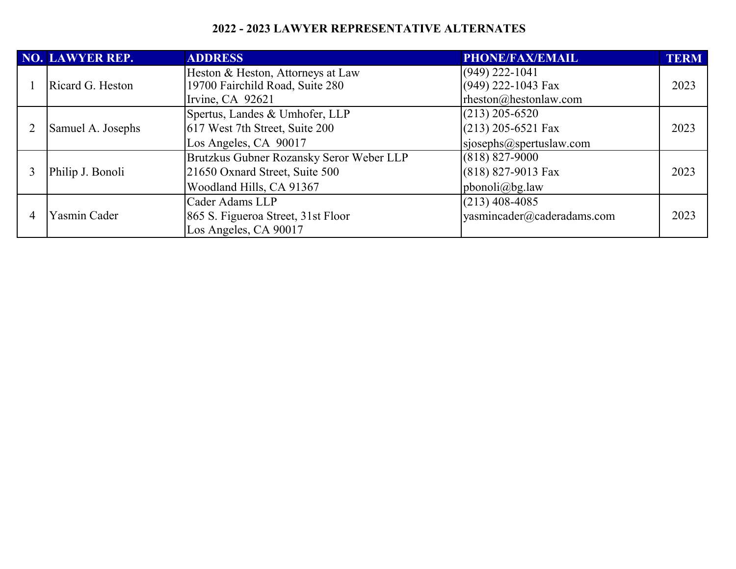#### **2022 - 2023 LAWYER REPRESENTATIVE ALTERNATES**

|  | NO. LAWYER REP.   | <b>ADDRESS</b>                           | PHONE/FAX/EMAIL            | <b>TERM</b> |
|--|-------------------|------------------------------------------|----------------------------|-------------|
|  |                   | Heston & Heston, Attorneys at Law        | $(949)$ 222-1041           |             |
|  | Ricard G. Heston  | 19700 Fairchild Road, Suite 280          | (949) 222-1043 Fax         | 2023        |
|  |                   | Irvine, CA 92621                         | rheston@hestonlaw.com      |             |
|  |                   | Spertus, Landes & Umhofer, LLP           | $(213)$ 205-6520           |             |
|  | Samuel A. Josephs | 617 West 7th Street, Suite 200           | $(213)$ 205-6521 Fax       | 2023        |
|  |                   | Los Angeles, CA 90017                    | sjosephs@spertuslaw.com    |             |
|  |                   | Brutzkus Gubner Rozansky Seror Weber LLP | $(818) 827 - 9000$         |             |
|  | Philip J. Bonoli  | 21650 Oxnard Street, Suite 500           | $(818)$ 827-9013 Fax       | 2023        |
|  |                   | Woodland Hills, CA 91367                 | $pbonoli(\omega)$ bg.law   |             |
|  |                   | Cader Adams LLP                          | $(213)$ 408-4085           |             |
|  | Yasmin Cader      | 865 S. Figueroa Street, 31st Floor       | yasmincader@caderadams.com | 2023        |
|  |                   | Los Angeles, CA 90017                    |                            |             |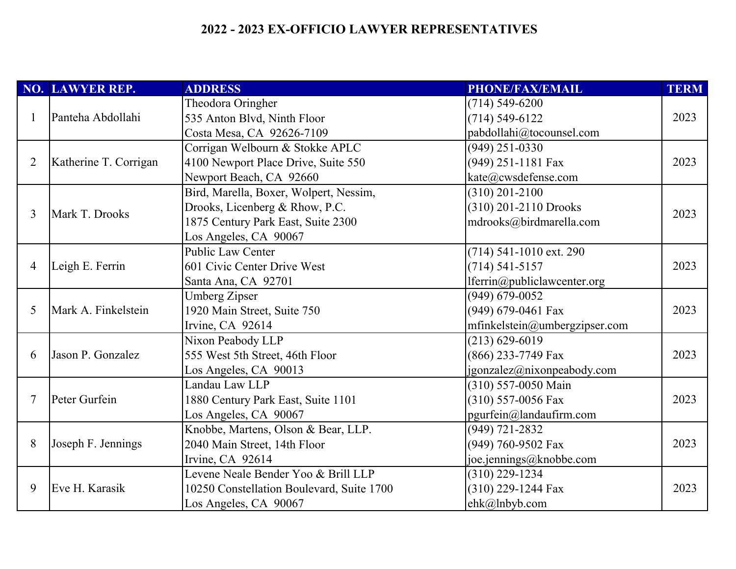# **2022 - 2023 EX-OFFICIO LAWYER REPRESENTATIVES**

|   | NO. LAWYER REP.       | <b>ADDRESS</b>                            | <b>PHONE/FAX/EMAIL</b>        | <b>TERM</b> |
|---|-----------------------|-------------------------------------------|-------------------------------|-------------|
|   |                       | Theodora Oringher                         | $(714)$ 549-6200              |             |
|   | Panteha Abdollahi     | 535 Anton Blvd, Ninth Floor               | $(714) 549 - 6122$            | 2023        |
|   |                       | Costa Mesa, CA 92626-7109                 | pabdollahi@tocounsel.com      |             |
|   |                       | Corrigan Welbourn & Stokke APLC           | $(949)$ 251-0330              |             |
| 2 | Katherine T. Corrigan | 4100 Newport Place Drive, Suite 550       | (949) 251-1181 Fax            | 2023        |
|   |                       | Newport Beach, CA 92660                   | kate@cwsdefense.com           |             |
|   |                       | Bird, Marella, Boxer, Wolpert, Nessim,    | $(310)$ 201-2100              |             |
| 3 | Mark T. Drooks        | Drooks, Licenberg & Rhow, P.C.            | (310) 201-2110 Drooks         | 2023        |
|   |                       | 1875 Century Park East, Suite 2300        | mdrooks@birdmarella.com       |             |
|   |                       | Los Angeles, CA 90067                     |                               |             |
|   |                       | Public Law Center                         | (714) 541-1010 ext. 290       |             |
| 4 | Leigh E. Ferrin       | 601 Civic Center Drive West               | $(714) 541 - 5157$            | 2023        |
|   |                       | Santa Ana, CA 92701                       | lferrin@publiclawcenter.org   |             |
|   |                       | <b>Umberg Zipser</b>                      | $(949) 679 - 0052$            |             |
| 5 | Mark A. Finkelstein   | 1920 Main Street, Suite 750               | (949) 679-0461 Fax            | 2023        |
|   |                       | Irvine, CA 92614                          | mfinkelstein@umbergzipser.com |             |
|   |                       | Nixon Peabody LLP                         | $(213) 629 - 6019$            |             |
| 6 | Jason P. Gonzalez     | 555 West 5th Street, 46th Floor           | (866) 233-7749 Fax            | 2023        |
|   |                       | Los Angeles, CA 90013                     | jgonzalez@nixonpeabody.com    |             |
|   |                       | Landau Law LLP                            | (310) 557-0050 Main           |             |
|   | Peter Gurfein         | 1880 Century Park East, Suite 1101        | $(310)$ 557-0056 Fax          | 2023        |
|   |                       | Los Angeles, CA 90067                     | pgurfein@landaufirm.com       |             |
|   |                       | Knobbe, Martens, Olson & Bear, LLP.       | $(949) 721 - 2832$            |             |
| 8 | Joseph F. Jennings    | 2040 Main Street, 14th Floor              | (949) 760-9502 Fax            | 2023        |
|   |                       | Irvine, CA 92614                          | joe.jennings@knobbe.com       |             |
|   |                       | Levene Neale Bender Yoo & Brill LLP       | $(310)$ 229-1234              |             |
| 9 | Eve H. Karasik        | 10250 Constellation Boulevard, Suite 1700 | (310) 229-1244 Fax            | 2023        |
|   |                       | Los Angeles, CA 90067                     | ehk@lnbyb.com                 |             |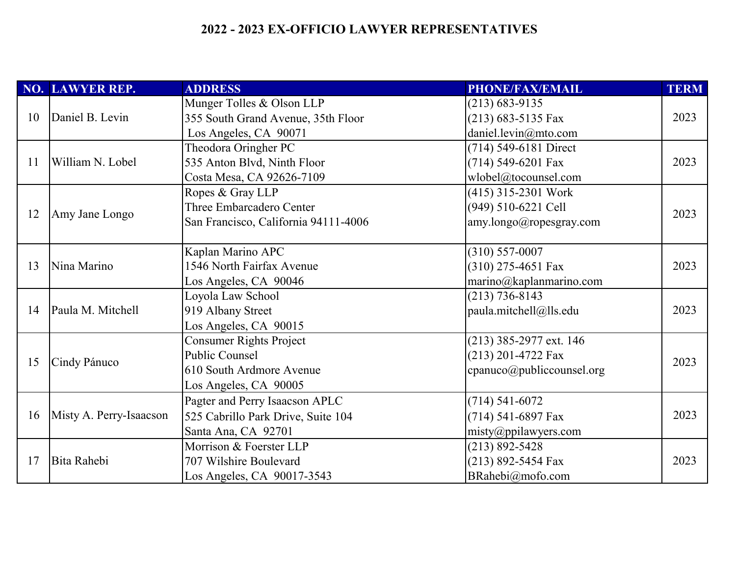# **2022 - 2023 EX-OFFICIO LAWYER REPRESENTATIVES**

|    | NO. LAWYER REP.         | <b>ADDRESS</b>                       | <b>PHONE/FAX/EMAIL</b>    | <b>TERM</b> |
|----|-------------------------|--------------------------------------|---------------------------|-------------|
|    | Daniel B. Levin         | Munger Tolles & Olson LLP            | $(213) 683 - 9135$        |             |
| 10 |                         | 355 South Grand Avenue, 35th Floor   | $(213)$ 683-5135 Fax      | 2023        |
|    |                         | Los Angeles, CA 90071                | daniel.levin $@$ mto.com  |             |
|    |                         | Theodora Oringher PC                 | (714) 549-6181 Direct     |             |
| 11 | William N. Lobel        | 535 Anton Blvd, Ninth Floor          | $(714)$ 549-6201 Fax      | 2023        |
|    |                         | Costa Mesa, CA 92626-7109            | wlobel@tocounsel.com      |             |
|    |                         | Ropes & Gray LLP                     | (415) 315-2301 Work       |             |
| 12 | Amy Jane Longo          | Three Embarcadero Center             | (949) 510-6221 Cell       | 2023        |
|    |                         | San Francisco, California 94111-4006 | amy.longo@ropesgray.com   |             |
|    |                         |                                      |                           |             |
|    |                         | Kaplan Marino APC                    | $(310) 557 - 0007$        |             |
| 13 | Nina Marino             | 1546 North Fairfax Avenue            | (310) 275-4651 Fax        | 2023        |
|    |                         | Los Angeles, CA 90046                | marino@kaplanmarino.com   |             |
|    |                         | Loyola Law School                    | $(213) 736 - 8143$        |             |
| 14 | Paula M. Mitchell       | 919 Albany Street                    | paula.mitchell@lls.edu    | 2023        |
|    |                         | Los Angeles, CA 90015                |                           |             |
|    |                         | <b>Consumer Rights Project</b>       | $(213)$ 385-2977 ext. 146 |             |
| 15 | Cindy Pánuco            | <b>Public Counsel</b>                | $(213)$ 201-4722 Fax      | 2023        |
|    |                         | 610 South Ardmore Avenue             | cpanuco@publiccounsel.org |             |
|    |                         | Los Angeles, CA 90005                |                           |             |
|    |                         | Pagter and Perry Isaacson APLC       | $(714) 541 - 6072$        |             |
| 16 | Misty A. Perry-Isaacson | 525 Cabrillo Park Drive, Suite 104   | $(714)$ 541-6897 Fax      | 2023        |
|    |                         | Santa Ana, CA 92701                  | misty@ppilawyers.com      |             |
|    |                         | Morrison & Foerster LLP              | $(213) 892 - 5428$        |             |
| 17 | <b>Bita Rahebi</b>      | 707 Wilshire Boulevard               | $(213)$ 892-5454 Fax      | 2023        |
|    |                         | Los Angeles, CA 90017-3543           | BRahebi@mofo.com          |             |